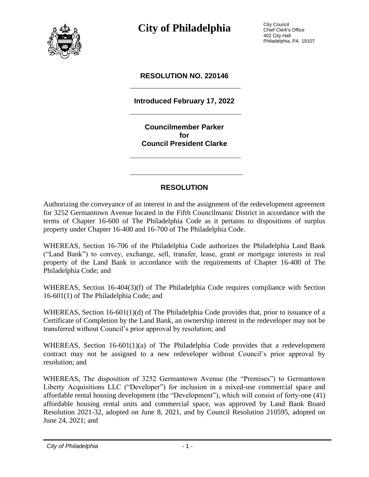

**City of Philadelphia** City Council

Chief Clerk's Office 402 City Hall Philadelphia, PA 19107

#### **RESOLUTION NO. 220146**

**Introduced February 17, 2022**

**Councilmember Parker for Council President Clarke**

### **RESOLUTION**

Authorizing the conveyance of an interest in and the assignment of the redevelopment agreement for 3252 Germantown Avenue located in the Fifth Councilmanic District in accordance with the terms of Chapter 16-600 of The Philadelphia Code as it pertains to dispositions of surplus property under Chapter 16-400 and 16-700 of The Philadelphia Code.

WHEREAS, Section 16-706 of the Philadelphia Code authorizes the Philadelphia Land Bank ("Land Bank") to convey, exchange, sell, transfer, lease, grant or mortgage interests in real property of the Land Bank in accordance with the requirements of Chapter 16-400 of The Philadelphia Code; and

WHEREAS, Section 16-404(3)(f) of The Philadelphia Code requires compliance with Section 16-601(1) of The Philadelphia Code; and

WHEREAS, Section 16-601(1)(d) of The Philadelphia Code provides that, prior to issuance of a Certificate of Completion by the Land Bank, an ownership interest in the redeveloper may not be transferred without Council's prior approval by resolution; and

WHEREAS, Section 16-601(1)(a) of The Philadelphia Code provides that a redevelopment contract may not be assigned to a new redeveloper without Council's prior approval by resolution; and

WHEREAS, The disposition of 3252 Germantown Avenue (the "Premises") to Germantown Liberty Acquisitions LLC ("Developer") for inclusion in a mixed-use commercial space and affordable rental housing development (the "Development"), which will consist of forty-one (41) affordable housing rental units and commercial space, was approved by Land Bank Board Resolution 2021-32, adopted on June 8, 2021, and by Council Resolution 210595, adopted on June 24, 2021; and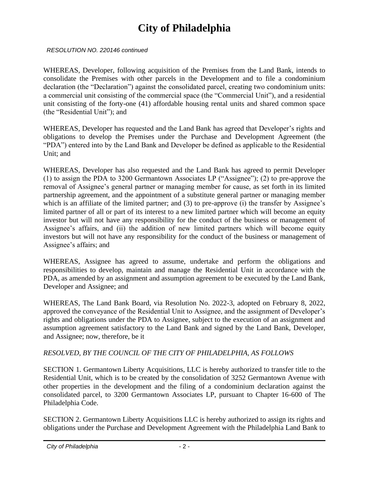## **City of Philadelphia**

*RESOLUTION NO. 220146 continued*

WHEREAS, Developer, following acquisition of the Premises from the Land Bank, intends to consolidate the Premises with other parcels in the Development and to file a condominium declaration (the "Declaration") against the consolidated parcel, creating two condominium units: a commercial unit consisting of the commercial space (the "Commercial Unit"), and a residential unit consisting of the forty-one (41) affordable housing rental units and shared common space (the "Residential Unit"); and

WHEREAS, Developer has requested and the Land Bank has agreed that Developer's rights and obligations to develop the Premises under the Purchase and Development Agreement (the "PDA") entered into by the Land Bank and Developer be defined as applicable to the Residential Unit; and

WHEREAS, Developer has also requested and the Land Bank has agreed to permit Developer (1) to assign the PDA to 3200 Germantown Associates LP ("Assignee"); (2) to pre-approve the removal of Assignee's general partner or managing member for cause, as set forth in its limited partnership agreement, and the appointment of a substitute general partner or managing member which is an affiliate of the limited partner; and (3) to pre-approve (i) the transfer by Assignee's limited partner of all or part of its interest to a new limited partner which will become an equity investor but will not have any responsibility for the conduct of the business or management of Assignee's affairs, and (ii) the addition of new limited partners which will become equity investors but will not have any responsibility for the conduct of the business or management of Assignee's affairs; and

WHEREAS, Assignee has agreed to assume, undertake and perform the obligations and responsibilities to develop, maintain and manage the Residential Unit in accordance with the PDA, as amended by an assignment and assumption agreement to be executed by the Land Bank, Developer and Assignee; and

WHEREAS, The Land Bank Board, via Resolution No. 2022-3, adopted on February 8, 2022, approved the conveyance of the Residential Unit to Assignee, and the assignment of Developer's rights and obligations under the PDA to Assignee, subject to the execution of an assignment and assumption agreement satisfactory to the Land Bank and signed by the Land Bank, Developer, and Assignee; now, therefore, be it

### *RESOLVED, BY THE COUNCIL OF THE CITY OF PHILADELPHIA, AS FOLLOWS*

SECTION 1. Germantown Liberty Acquisitions, LLC is hereby authorized to transfer title to the Residential Unit, which is to be created by the consolidation of 3252 Germantown Avenue with other properties in the development and the filing of a condominium declaration against the consolidated parcel, to 3200 Germantown Associates LP, pursuant to Chapter 16-600 of The Philadelphia Code.

SECTION 2. Germantown Liberty Acquisitions LLC is hereby authorized to assign its rights and obligations under the Purchase and Development Agreement with the Philadelphia Land Bank to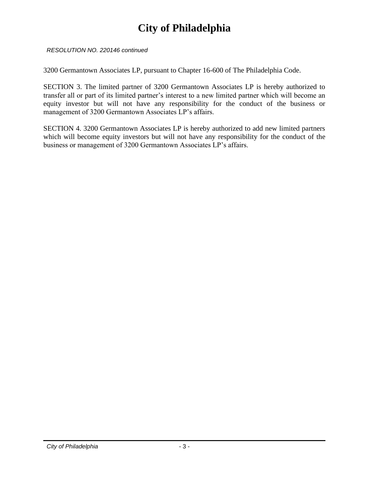## **City of Philadelphia**

*RESOLUTION NO. 220146 continued*

3200 Germantown Associates LP, pursuant to Chapter 16-600 of The Philadelphia Code.

SECTION 3. The limited partner of 3200 Germantown Associates LP is hereby authorized to transfer all or part of its limited partner's interest to a new limited partner which will become an equity investor but will not have any responsibility for the conduct of the business or management of 3200 Germantown Associates LP's affairs.

SECTION 4. 3200 Germantown Associates LP is hereby authorized to add new limited partners which will become equity investors but will not have any responsibility for the conduct of the business or management of 3200 Germantown Associates LP's affairs.